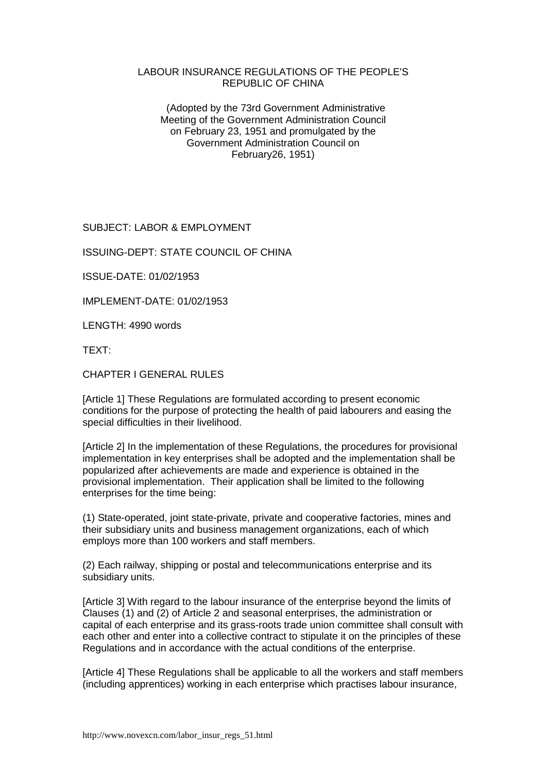#### LABOUR INSURANCE REGULATIONS OF THE PEOPLE'S REPUBLIC OF CHINA

 (Adopted by the 73rd Government Administrative Meeting of the Government Administration Council on February 23, 1951 and promulgated by the Government Administration Council on February26, 1951)

SUBJECT: LABOR & EMPLOYMENT

ISSUING-DEPT: STATE COUNCIL OF CHINA

ISSUE-DATE: 01/02/1953

IMPLEMENT-DATE: 01/02/1953

LENGTH: 4990 words

TEXT:

CHAPTER I GENERAL RULES

[Article 1] These Regulations are formulated according to present economic conditions for the purpose of protecting the health of paid labourers and easing the special difficulties in their livelihood.

[Article 2] In the implementation of these Regulations, the procedures for provisional implementation in key enterprises shall be adopted and the implementation shall be popularized after achievements are made and experience is obtained in the provisional implementation. Their application shall be limited to the following enterprises for the time being:

(1) State-operated, joint state-private, private and cooperative factories, mines and their subsidiary units and business management organizations, each of which employs more than 100 workers and staff members.

(2) Each railway, shipping or postal and telecommunications enterprise and its subsidiary units.

[Article 3] With regard to the labour insurance of the enterprise beyond the limits of Clauses (1) and (2) of Article 2 and seasonal enterprises, the administration or capital of each enterprise and its grass-roots trade union committee shall consult with each other and enter into a collective contract to stipulate it on the principles of these Regulations and in accordance with the actual conditions of the enterprise.

[Article 4] These Regulations shall be applicable to all the workers and staff members (including apprentices) working in each enterprise which practises labour insurance,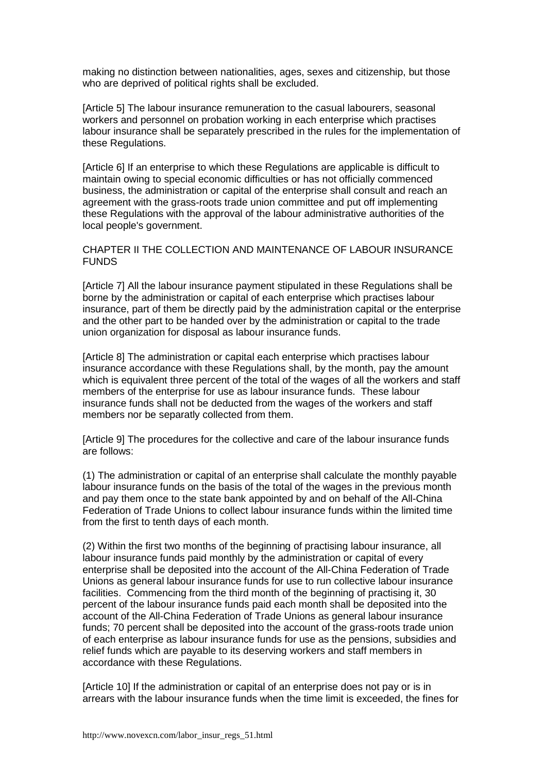making no distinction between nationalities, ages, sexes and citizenship, but those who are deprived of political rights shall be excluded.

[Article 5] The labour insurance remuneration to the casual labourers, seasonal workers and personnel on probation working in each enterprise which practises labour insurance shall be separately prescribed in the rules for the implementation of these Regulations.

[Article 6] If an enterprise to which these Regulations are applicable is difficult to maintain owing to special economic difficulties or has not officially commenced business, the administration or capital of the enterprise shall consult and reach an agreement with the grass-roots trade union committee and put off implementing these Regulations with the approval of the labour administrative authorities of the local people's government.

# CHAPTER II THE COLLECTION AND MAINTENANCE OF LABOUR INSURANCE FUNDS

[Article 7] All the labour insurance payment stipulated in these Regulations shall be borne by the administration or capital of each enterprise which practises labour insurance, part of them be directly paid by the administration capital or the enterprise and the other part to be handed over by the administration or capital to the trade union organization for disposal as labour insurance funds.

[Article 8] The administration or capital each enterprise which practises labour insurance accordance with these Regulations shall, by the month, pay the amount which is equivalent three percent of the total of the wages of all the workers and staff members of the enterprise for use as labour insurance funds. These labour insurance funds shall not be deducted from the wages of the workers and staff members nor be separatly collected from them.

[Article 9] The procedures for the collective and care of the labour insurance funds are follows:

(1) The administration or capital of an enterprise shall calculate the monthly payable labour insurance funds on the basis of the total of the wages in the previous month and pay them once to the state bank appointed by and on behalf of the All-China Federation of Trade Unions to collect labour insurance funds within the limited time from the first to tenth days of each month.

(2) Within the first two months of the beginning of practising labour insurance, all labour insurance funds paid monthly by the administration or capital of every enterprise shall be deposited into the account of the All-China Federation of Trade Unions as general labour insurance funds for use to run collective labour insurance facilities. Commencing from the third month of the beginning of practising it, 30 percent of the labour insurance funds paid each month shall be deposited into the account of the All-China Federation of Trade Unions as general labour insurance funds; 70 percent shall be deposited into the account of the grass-roots trade union of each enterprise as labour insurance funds for use as the pensions, subsidies and relief funds which are payable to its deserving workers and staff members in accordance with these Regulations.

[Article 10] If the administration or capital of an enterprise does not pay or is in arrears with the labour insurance funds when the time limit is exceeded, the fines for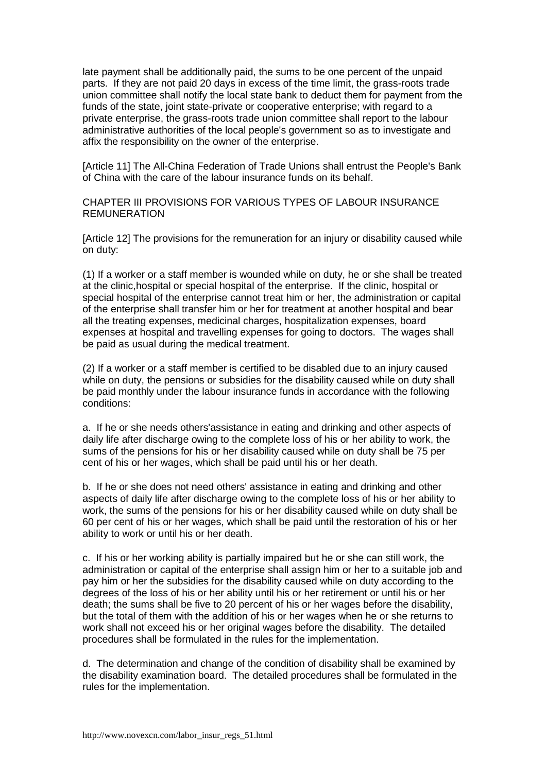late payment shall be additionally paid, the sums to be one percent of the unpaid parts. If they are not paid 20 days in excess of the time limit, the grass-roots trade union committee shall notify the local state bank to deduct them for payment from the funds of the state, joint state-private or cooperative enterprise; with regard to a private enterprise, the grass-roots trade union committee shall report to the labour administrative authorities of the local people's government so as to investigate and affix the responsibility on the owner of the enterprise.

[Article 11] The All-China Federation of Trade Unions shall entrust the People's Bank of China with the care of the labour insurance funds on its behalf.

CHAPTER III PROVISIONS FOR VARIOUS TYPES OF LABOUR INSURANCE REMUNERATION

[Article 12] The provisions for the remuneration for an injury or disability caused while on duty:

(1) If a worker or a staff member is wounded while on duty, he or she shall be treated at the clinic,hospital or special hospital of the enterprise. If the clinic, hospital or special hospital of the enterprise cannot treat him or her, the administration or capital of the enterprise shall transfer him or her for treatment at another hospital and bear all the treating expenses, medicinal charges, hospitalization expenses, board expenses at hospital and travelling expenses for going to doctors. The wages shall be paid as usual during the medical treatment.

(2) If a worker or a staff member is certified to be disabled due to an injury caused while on duty, the pensions or subsidies for the disability caused while on duty shall be paid monthly under the labour insurance funds in accordance with the following conditions:

a. If he or she needs others'assistance in eating and drinking and other aspects of daily life after discharge owing to the complete loss of his or her ability to work, the sums of the pensions for his or her disability caused while on duty shall be 75 per cent of his or her wages, which shall be paid until his or her death.

b. If he or she does not need others' assistance in eating and drinking and other aspects of daily life after discharge owing to the complete loss of his or her ability to work, the sums of the pensions for his or her disability caused while on duty shall be 60 per cent of his or her wages, which shall be paid until the restoration of his or her ability to work or until his or her death.

c. If his or her working ability is partially impaired but he or she can still work, the administration or capital of the enterprise shall assign him or her to a suitable job and pay him or her the subsidies for the disability caused while on duty according to the degrees of the loss of his or her ability until his or her retirement or until his or her death; the sums shall be five to 20 percent of his or her wages before the disability, but the total of them with the addition of his or her wages when he or she returns to work shall not exceed his or her original wages before the disability. The detailed procedures shall be formulated in the rules for the implementation.

d. The determination and change of the condition of disability shall be examined by the disability examination board. The detailed procedures shall be formulated in the rules for the implementation.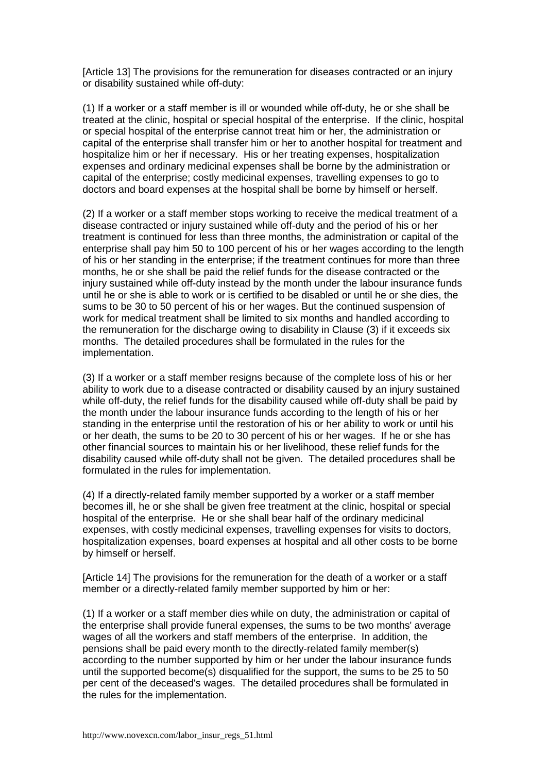[Article 13] The provisions for the remuneration for diseases contracted or an injury or disability sustained while off-duty:

(1) If a worker or a staff member is ill or wounded while off-duty, he or she shall be treated at the clinic, hospital or special hospital of the enterprise. If the clinic, hospital or special hospital of the enterprise cannot treat him or her, the administration or capital of the enterprise shall transfer him or her to another hospital for treatment and hospitalize him or her if necessary. His or her treating expenses, hospitalization expenses and ordinary medicinal expenses shall be borne by the administration or capital of the enterprise; costly medicinal expenses, travelling expenses to go to doctors and board expenses at the hospital shall be borne by himself or herself.

(2) If a worker or a staff member stops working to receive the medical treatment of a disease contracted or injury sustained while off-duty and the period of his or her treatment is continued for less than three months, the administration or capital of the enterprise shall pay him 50 to 100 percent of his or her wages according to the length of his or her standing in the enterprise; if the treatment continues for more than three months, he or she shall be paid the relief funds for the disease contracted or the injury sustained while off-duty instead by the month under the labour insurance funds until he or she is able to work or is certified to be disabled or until he or she dies, the sums to be 30 to 50 percent of his or her wages. But the continued suspension of work for medical treatment shall be limited to six months and handled according to the remuneration for the discharge owing to disability in Clause (3) if it exceeds six months. The detailed procedures shall be formulated in the rules for the implementation.

(3) If a worker or a staff member resigns because of the complete loss of his or her ability to work due to a disease contracted or disability caused by an injury sustained while off-duty, the relief funds for the disability caused while off-duty shall be paid by the month under the labour insurance funds according to the length of his or her standing in the enterprise until the restoration of his or her ability to work or until his or her death, the sums to be 20 to 30 percent of his or her wages. If he or she has other financial sources to maintain his or her livelihood, these relief funds for the disability caused while off-duty shall not be given. The detailed procedures shall be formulated in the rules for implementation.

(4) If a directly-related family member supported by a worker or a staff member becomes ill, he or she shall be given free treatment at the clinic, hospital or special hospital of the enterprise. He or she shall bear half of the ordinary medicinal expenses, with costly medicinal expenses, travelling expenses for visits to doctors, hospitalization expenses, board expenses at hospital and all other costs to be borne by himself or herself.

[Article 14] The provisions for the remuneration for the death of a worker or a staff member or a directly-related family member supported by him or her:

(1) If a worker or a staff member dies while on duty, the administration or capital of the enterprise shall provide funeral expenses, the sums to be two months' average wages of all the workers and staff members of the enterprise. In addition, the pensions shall be paid every month to the directly-related family member(s) according to the number supported by him or her under the labour insurance funds until the supported become(s) disqualified for the support, the sums to be 25 to 50 per cent of the deceased's wages. The detailed procedures shall be formulated in the rules for the implementation.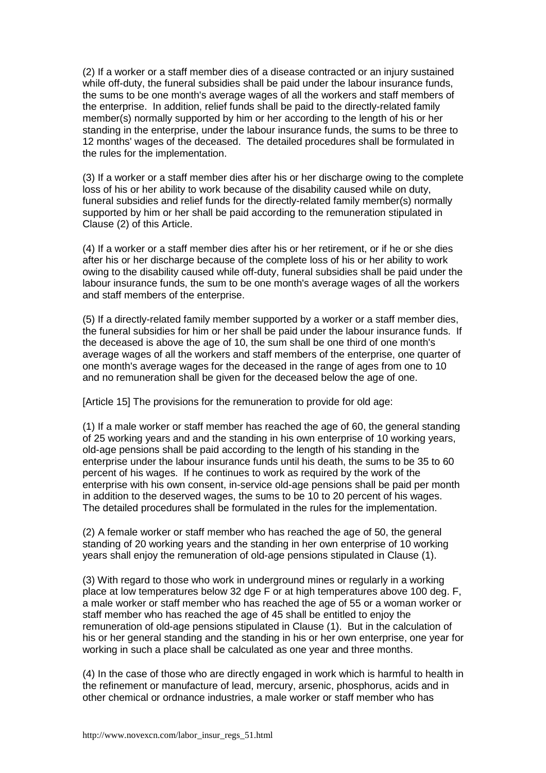(2) If a worker or a staff member dies of a disease contracted or an injury sustained while off-duty, the funeral subsidies shall be paid under the labour insurance funds, the sums to be one month's average wages of all the workers and staff members of the enterprise. In addition, relief funds shall be paid to the directly-related family member(s) normally supported by him or her according to the length of his or her standing in the enterprise, under the labour insurance funds, the sums to be three to 12 months' wages of the deceased. The detailed procedures shall be formulated in the rules for the implementation.

(3) If a worker or a staff member dies after his or her discharge owing to the complete loss of his or her ability to work because of the disability caused while on duty, funeral subsidies and relief funds for the directly-related family member(s) normally supported by him or her shall be paid according to the remuneration stipulated in Clause (2) of this Article.

(4) If a worker or a staff member dies after his or her retirement, or if he or she dies after his or her discharge because of the complete loss of his or her ability to work owing to the disability caused while off-duty, funeral subsidies shall be paid under the labour insurance funds, the sum to be one month's average wages of all the workers and staff members of the enterprise.

(5) If a directly-related family member supported by a worker or a staff member dies, the funeral subsidies for him or her shall be paid under the labour insurance funds. If the deceased is above the age of 10, the sum shall be one third of one month's average wages of all the workers and staff members of the enterprise, one quarter of one month's average wages for the deceased in the range of ages from one to 10 and no remuneration shall be given for the deceased below the age of one.

[Article 15] The provisions for the remuneration to provide for old age:

(1) If a male worker or staff member has reached the age of 60, the general standing of 25 working years and and the standing in his own enterprise of 10 working years, old-age pensions shall be paid according to the length of his standing in the enterprise under the labour insurance funds until his death, the sums to be 35 to 60 percent of his wages. If he continues to work as required by the work of the enterprise with his own consent, in-service old-age pensions shall be paid per month in addition to the deserved wages, the sums to be 10 to 20 percent of his wages. The detailed procedures shall be formulated in the rules for the implementation.

(2) A female worker or staff member who has reached the age of 50, the general standing of 20 working years and the standing in her own enterprise of 10 working years shall enjoy the remuneration of old-age pensions stipulated in Clause (1).

(3) With regard to those who work in underground mines or regularly in a working place at low temperatures below 32 dge F or at high temperatures above 100 deg. F, a male worker or staff member who has reached the age of 55 or a woman worker or staff member who has reached the age of 45 shall be entitled to enjoy the remuneration of old-age pensions stipulated in Clause (1). But in the calculation of his or her general standing and the standing in his or her own enterprise, one year for working in such a place shall be calculated as one year and three months.

(4) In the case of those who are directly engaged in work which is harmful to health in the refinement or manufacture of lead, mercury, arsenic, phosphorus, acids and in other chemical or ordnance industries, a male worker or staff member who has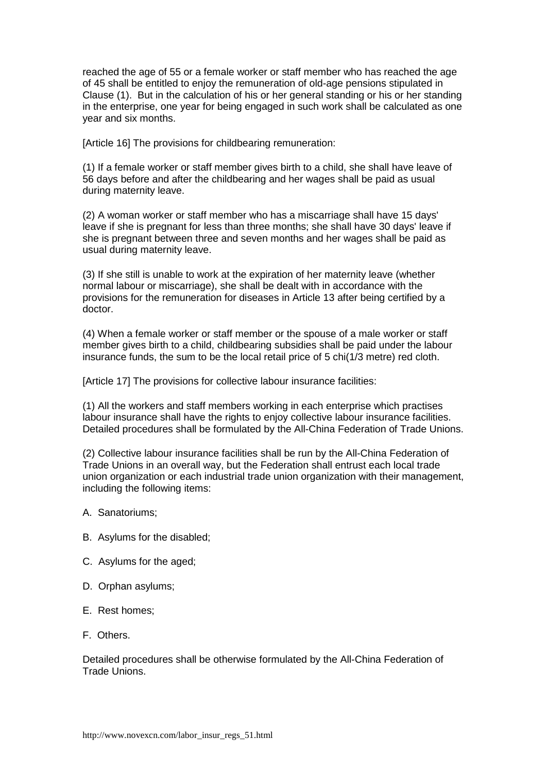reached the age of 55 or a female worker or staff member who has reached the age of 45 shall be entitled to enjoy the remuneration of old-age pensions stipulated in Clause (1). But in the calculation of his or her general standing or his or her standing in the enterprise, one year for being engaged in such work shall be calculated as one year and six months.

[Article 16] The provisions for childbearing remuneration:

(1) If a female worker or staff member gives birth to a child, she shall have leave of 56 days before and after the childbearing and her wages shall be paid as usual during maternity leave.

(2) A woman worker or staff member who has a miscarriage shall have 15 days' leave if she is pregnant for less than three months; she shall have 30 days' leave if she is pregnant between three and seven months and her wages shall be paid as usual during maternity leave.

(3) If she still is unable to work at the expiration of her maternity leave (whether normal labour or miscarriage), she shall be dealt with in accordance with the provisions for the remuneration for diseases in Article 13 after being certified by a doctor.

(4) When a female worker or staff member or the spouse of a male worker or staff member gives birth to a child, childbearing subsidies shall be paid under the labour insurance funds, the sum to be the local retail price of 5 chi(1/3 metre) red cloth.

[Article 17] The provisions for collective labour insurance facilities:

(1) All the workers and staff members working in each enterprise which practises labour insurance shall have the rights to enjoy collective labour insurance facilities. Detailed procedures shall be formulated by the All-China Federation of Trade Unions.

(2) Collective labour insurance facilities shall be run by the All-China Federation of Trade Unions in an overall way, but the Federation shall entrust each local trade union organization or each industrial trade union organization with their management, including the following items:

- A. Sanatoriums;
- B. Asylums for the disabled;
- C. Asylums for the aged;
- D. Orphan asylums;
- E. Rest homes;
- F. Others.

Detailed procedures shall be otherwise formulated by the All-China Federation of Trade Unions.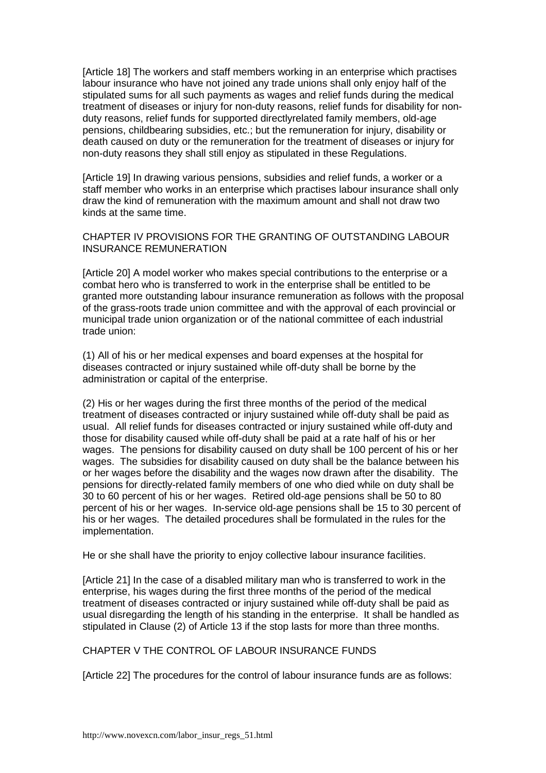[Article 18] The workers and staff members working in an enterprise which practises labour insurance who have not joined any trade unions shall only enjoy half of the stipulated sums for all such payments as wages and relief funds during the medical treatment of diseases or injury for non-duty reasons, relief funds for disability for nonduty reasons, relief funds for supported directlyrelated family members, old-age pensions, childbearing subsidies, etc.; but the remuneration for injury, disability or death caused on duty or the remuneration for the treatment of diseases or injury for non-duty reasons they shall still enjoy as stipulated in these Regulations.

[Article 19] In drawing various pensions, subsidies and relief funds, a worker or a staff member who works in an enterprise which practises labour insurance shall only draw the kind of remuneration with the maximum amount and shall not draw two kinds at the same time.

# CHAPTER IV PROVISIONS FOR THE GRANTING OF OUTSTANDING LABOUR INSURANCE REMUNERATION

[Article 20] A model worker who makes special contributions to the enterprise or a combat hero who is transferred to work in the enterprise shall be entitled to be granted more outstanding labour insurance remuneration as follows with the proposal of the grass-roots trade union committee and with the approval of each provincial or municipal trade union organization or of the national committee of each industrial trade union:

(1) All of his or her medical expenses and board expenses at the hospital for diseases contracted or injury sustained while off-duty shall be borne by the administration or capital of the enterprise.

(2) His or her wages during the first three months of the period of the medical treatment of diseases contracted or injury sustained while off-duty shall be paid as usual. All relief funds for diseases contracted or injury sustained while off-duty and those for disability caused while off-duty shall be paid at a rate half of his or her wages. The pensions for disability caused on duty shall be 100 percent of his or her wages. The subsidies for disability caused on duty shall be the balance between his or her wages before the disability and the wages now drawn after the disability. The pensions for directly-related family members of one who died while on duty shall be 30 to 60 percent of his or her wages. Retired old-age pensions shall be 50 to 80 percent of his or her wages. In-service old-age pensions shall be 15 to 30 percent of his or her wages. The detailed procedures shall be formulated in the rules for the implementation.

He or she shall have the priority to enjoy collective labour insurance facilities.

[Article 21] In the case of a disabled military man who is transferred to work in the enterprise, his wages during the first three months of the period of the medical treatment of diseases contracted or injury sustained while off-duty shall be paid as usual disregarding the length of his standing in the enterprise. It shall be handled as stipulated in Clause (2) of Article 13 if the stop lasts for more than three months.

### CHAPTER V THE CONTROL OF LABOUR INSURANCE FUNDS

[Article 22] The procedures for the control of labour insurance funds are as follows: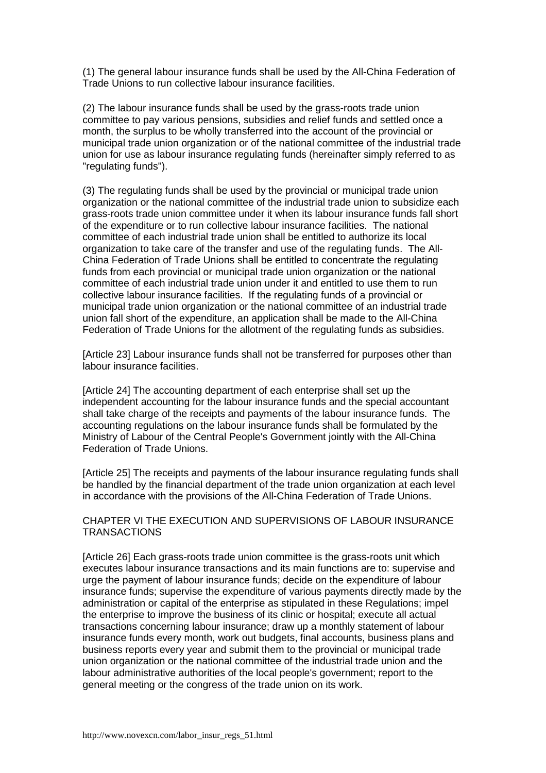(1) The general labour insurance funds shall be used by the All-China Federation of Trade Unions to run collective labour insurance facilities.

(2) The labour insurance funds shall be used by the grass-roots trade union committee to pay various pensions, subsidies and relief funds and settled once a month, the surplus to be wholly transferred into the account of the provincial or municipal trade union organization or of the national committee of the industrial trade union for use as labour insurance regulating funds (hereinafter simply referred to as "regulating funds").

(3) The regulating funds shall be used by the provincial or municipal trade union organization or the national committee of the industrial trade union to subsidize each grass-roots trade union committee under it when its labour insurance funds fall short of the expenditure or to run collective labour insurance facilities. The national committee of each industrial trade union shall be entitled to authorize its local organization to take care of the transfer and use of the regulating funds. The All-China Federation of Trade Unions shall be entitled to concentrate the regulating funds from each provincial or municipal trade union organization or the national committee of each industrial trade union under it and entitled to use them to run collective labour insurance facilities. If the regulating funds of a provincial or municipal trade union organization or the national committee of an industrial trade union fall short of the expenditure, an application shall be made to the All-China Federation of Trade Unions for the allotment of the regulating funds as subsidies.

[Article 23] Labour insurance funds shall not be transferred for purposes other than labour insurance facilities.

[Article 24] The accounting department of each enterprise shall set up the independent accounting for the labour insurance funds and the special accountant shall take charge of the receipts and payments of the labour insurance funds. The accounting regulations on the labour insurance funds shall be formulated by the Ministry of Labour of the Central People's Government jointly with the All-China Federation of Trade Unions.

[Article 25] The receipts and payments of the labour insurance regulating funds shall be handled by the financial department of the trade union organization at each level in accordance with the provisions of the All-China Federation of Trade Unions.

CHAPTER VI THE EXECUTION AND SUPERVISIONS OF LABOUR INSURANCE **TRANSACTIONS** 

[Article 26] Each grass-roots trade union committee is the grass-roots unit which executes labour insurance transactions and its main functions are to: supervise and urge the payment of labour insurance funds; decide on the expenditure of labour insurance funds; supervise the expenditure of various payments directly made by the administration or capital of the enterprise as stipulated in these Regulations; impel the enterprise to improve the business of its clinic or hospital; execute all actual transactions concerning labour insurance; draw up a monthly statement of labour insurance funds every month, work out budgets, final accounts, business plans and business reports every year and submit them to the provincial or municipal trade union organization or the national committee of the industrial trade union and the labour administrative authorities of the local people's government; report to the general meeting or the congress of the trade union on its work.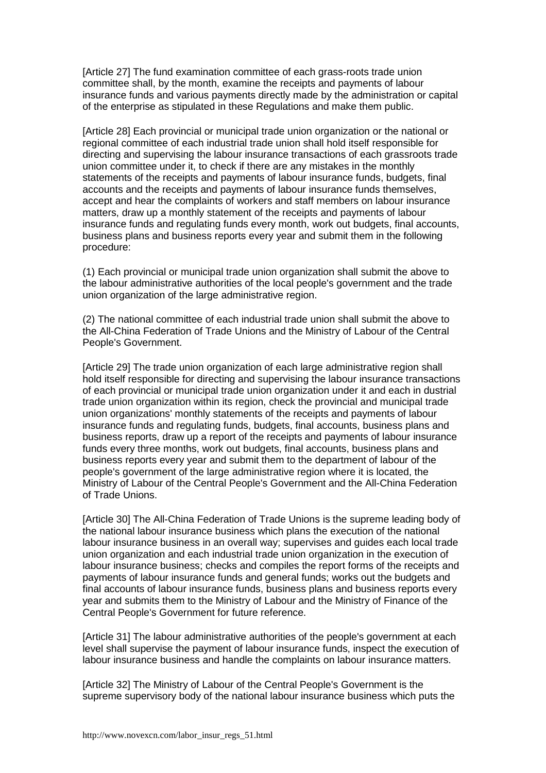[Article 27] The fund examination committee of each grass-roots trade union committee shall, by the month, examine the receipts and payments of labour insurance funds and various payments directly made by the administration or capital of the enterprise as stipulated in these Regulations and make them public.

[Article 28] Each provincial or municipal trade union organization or the national or regional committee of each industrial trade union shall hold itself responsible for directing and supervising the labour insurance transactions of each grassroots trade union committee under it, to check if there are any mistakes in the monthly statements of the receipts and payments of labour insurance funds, budgets, final accounts and the receipts and payments of labour insurance funds themselves, accept and hear the complaints of workers and staff members on labour insurance matters, draw up a monthly statement of the receipts and payments of labour insurance funds and regulating funds every month, work out budgets, final accounts, business plans and business reports every year and submit them in the following procedure:

(1) Each provincial or municipal trade union organization shall submit the above to the labour administrative authorities of the local people's government and the trade union organization of the large administrative region.

(2) The national committee of each industrial trade union shall submit the above to the All-China Federation of Trade Unions and the Ministry of Labour of the Central People's Government.

[Article 29] The trade union organization of each large administrative region shall hold itself responsible for directing and supervising the labour insurance transactions of each provincial or municipal trade union organization under it and each in dustrial trade union organization within its region, check the provincial and municipal trade union organizations' monthly statements of the receipts and payments of labour insurance funds and regulating funds, budgets, final accounts, business plans and business reports, draw up a report of the receipts and payments of labour insurance funds every three months, work out budgets, final accounts, business plans and business reports every year and submit them to the department of labour of the people's government of the large administrative region where it is located, the Ministry of Labour of the Central People's Government and the All-China Federation of Trade Unions.

[Article 30] The All-China Federation of Trade Unions is the supreme leading body of the national labour insurance business which plans the execution of the national labour insurance business in an overall way; supervises and guides each local trade union organization and each industrial trade union organization in the execution of labour insurance business; checks and compiles the report forms of the receipts and payments of labour insurance funds and general funds; works out the budgets and final accounts of labour insurance funds, business plans and business reports every year and submits them to the Ministry of Labour and the Ministry of Finance of the Central People's Government for future reference.

[Article 31] The labour administrative authorities of the people's government at each level shall supervise the payment of labour insurance funds, inspect the execution of labour insurance business and handle the complaints on labour insurance matters.

[Article 32] The Ministry of Labour of the Central People's Government is the supreme supervisory body of the national labour insurance business which puts the